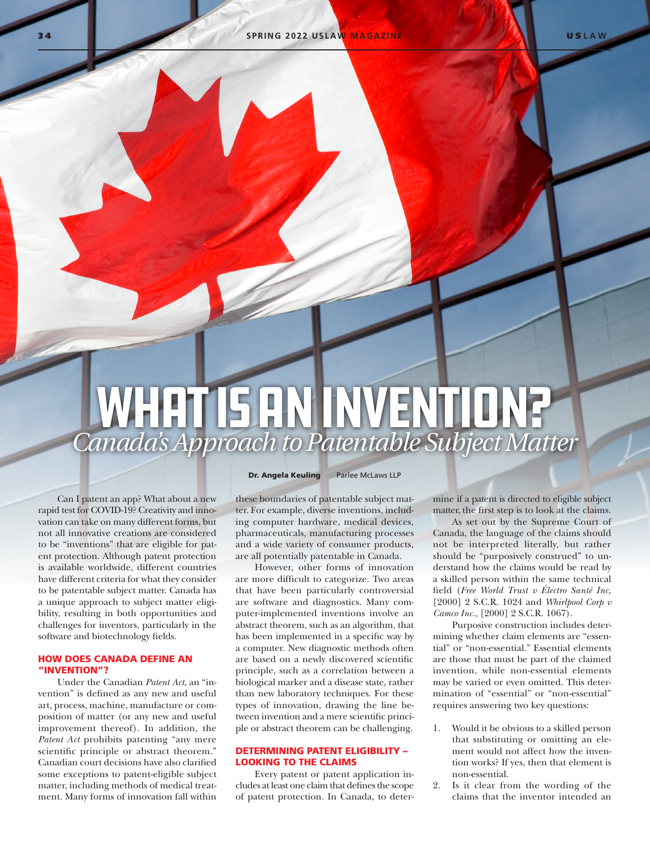# WHAT IS AN INVENTION? *Canada's Approach to Patentable Subject Matter*

Can I patent an app? What about a new rapid test for COVID-19? Creativity and innovation can take on many different forms, but not all innovative creations are considered to be "inventions" that are eligible for patent protection. Although patent protection is available worldwide, different countries have different criteria for what they consider to be patentable subject matter. Canada has a unique approach to subject matter eligibility, resulting in both opportunities and challenges for inventors, particularly in the software and biotechnology fields.

# HOW DOES CANADA DEFINE AN "INVENTION"?

Under the Canadian *Patent Act*, an "invention" is defined as any new and useful art, process, machine, manufacture or composition of matter (or any new and useful improvement thereof). In addition, the *Patent Act* prohibits patenting "any mere scientific principle or abstract theorem." Canadian court decisions have also clarified some exceptions to patent-eligible subject matter, including methods of medical treatment. Many forms of innovation fall within

Dr. Angela Keuling Parlee McLaws LLP

these boundaries of patentable subject matter. For example, diverse inventions, including computer hardware, medical devices, pharmaceuticals, manufacturing processes and a wide variety of consumer products, are all potentially patentable in Canada.

However, other forms of innovation are more difficult to categorize. Two areas that have been particularly controversial are software and diagnostics. Many computer-implemented inventions involve an abstract theorem, such as an algorithm, that has been implemented in a specific way by a computer. New diagnostic methods often are based on a newly discovered scientific principle, such as a correlation between a biological marker and a disease state, rather than new laboratory techniques. For these types of innovation, drawing the line between invention and a mere scientific principle or abstract theorem can be challenging.

#### DETERMINING PATENT ELIGIBILITY – LOOKING TO THE CLAIMS

Every patent or patent application includes at least one claim that defines the scope of patent protection. In Canada, to determine if a patent is directed to eligible subject matter, the first step is to look at the claims.

As set out by the Supreme Court of Canada, the language of the claims should not be interpreted literally, but rather should be "purposively construed" to understand how the claims would be read by a skilled person within the same technical field (*Free World Trust v Électro Santé Inc,*  [2000] 2 S.C.R. 1024 and *Whirlpool Corp v Camco Inc.*, [2000] 2 S.C.R. 1067).

Purposive construction includes determining whether claim elements are "essential" or "non-essential." Essential elements are those that must be part of the claimed invention, while non-essential elements may be varied or even omitted. This determination of "essential" or "non-essential" requires answering two key questions:

- 1. Would it be obvious to a skilled person that substituting or omitting an element would not affect how the invention works? If yes, then that element is non-essential.
- 2. Is it clear from the wording of the claims that the inventor intended an